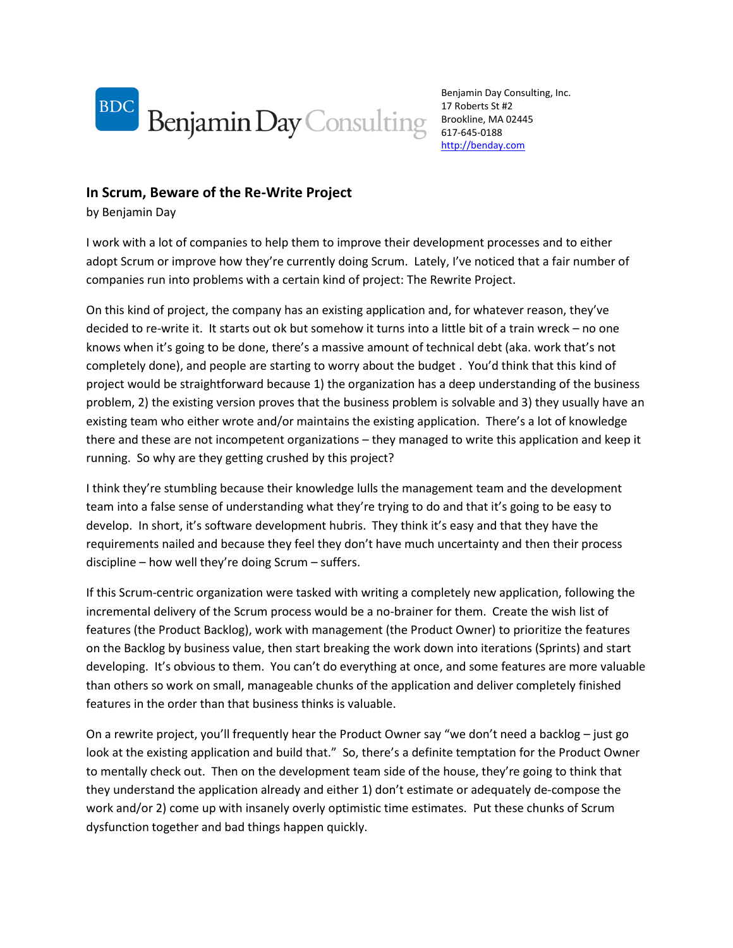

Benjamin Day Consulting, Inc. 17 Roberts St #2 Brookline, MA 02445 617-645-0188 [http://benday.com](http://benday.com/)

## **In Scrum, Beware of the Re-Write Project**

by Benjamin Day

I work with a lot of companies to help them to improve their development processes and to either adopt Scrum or improve how they're currently doing Scrum. Lately, I've noticed that a fair number of companies run into problems with a certain kind of project: The Rewrite Project.

On this kind of project, the company has an existing application and, for whatever reason, they've decided to re-write it. It starts out ok but somehow it turns into a little bit of a train wreck – no one knows when it's going to be done, there's a massive amount of technical debt (aka. work that's not completely done), and people are starting to worry about the budget . You'd think that this kind of project would be straightforward because 1) the organization has a deep understanding of the business problem, 2) the existing version proves that the business problem is solvable and 3) they usually have an existing team who either wrote and/or maintains the existing application. There's a lot of knowledge there and these are not incompetent organizations – they managed to write this application and keep it running. So why are they getting crushed by this project?

I think they're stumbling because their knowledge lulls the management team and the development team into a false sense of understanding what they're trying to do and that it's going to be easy to develop. In short, it's software development hubris. They think it's easy and that they have the requirements nailed and because they feel they don't have much uncertainty and then their process discipline – how well they're doing Scrum – suffers.

If this Scrum-centric organization were tasked with writing a completely new application, following the incremental delivery of the Scrum process would be a no-brainer for them. Create the wish list of features (the Product Backlog), work with management (the Product Owner) to prioritize the features on the Backlog by business value, then start breaking the work down into iterations (Sprints) and start developing. It's obvious to them. You can't do everything at once, and some features are more valuable than others so work on small, manageable chunks of the application and deliver completely finished features in the order than that business thinks is valuable.

On a rewrite project, you'll frequently hear the Product Owner say "we don't need a backlog – just go look at the existing application and build that." So, there's a definite temptation for the Product Owner to mentally check out. Then on the development team side of the house, they're going to think that they understand the application already and either 1) don't estimate or adequately de-compose the work and/or 2) come up with insanely overly optimistic time estimates. Put these chunks of Scrum dysfunction together and bad things happen quickly.